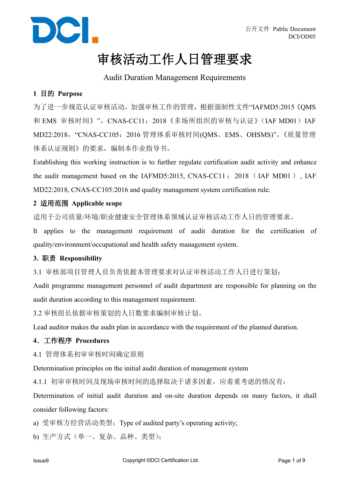

### 审核活动工作人日管理要求

### Audit Duration Management Requirements

### **1** 目的 **Purpose**

为了进一步规范认证审核活动,加强审核工作的管理,根据强制性文件"IAFMD5:2015《QMS 和 EMS 审核时间》", CNAS-CC11: 2018《多场所组织的审核与认证》(IAF MD01) IAF MD22:2018,"CNAS-CC105:2016 管理体系审核时间(QMS、EMS、OHSMS)",《质量管理 体系认证规则》的要求,编制本作业指导书。

Establishing this working instruction is to further regulate certification audit activity and enhance the audit management based on the IAFMD5:2015, CNAS-CC11: 2018 (IAF MD01), IAF MD22:2018, CNAS-CC105:2016 and quality management system certification rule.

#### **2** 适用范围 **Applicable scope**

适用于公司质量/环境/职业健康安全管理体系领域认证审核活动工作人日的管理要求。

It applies to the management requirement of audit duration for the certification of quality/environment/occupational and health safety management system.

### **3.** 职责 **Responsibility**

3.1 审核部项目管理人员负责依据本管理要求对认证审核活动工作人日进行策划;

Audit programme management personnel of audit department are responsible for planning on the audit duration according to this management requirement.

3.2 审核组长依据审核策划的人日数要求编制审核计划。

Lead auditor makes the audit plan in accordance with the requirement of the planned duration.

### **4**.工作程序 **Procedures**

4.1 管理体系初审审核时间确定原则

Determination principles on the initial audit duration of management system

4.1.1 初审审核时间及现场审核时间的选择取决于诸多因素,应着重考虑的情况有:

Determination of initial audit duration and on-site duration depends on many factors, it shall consider following factors:

a) 受审核方经营活动类型;Type of audited party's operating activity;

b) 生产方式(单一、复杂、品种、类型);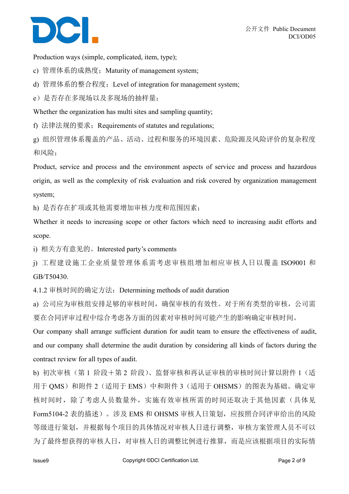

Production ways (simple, complicated, item, type);

c) 管理体系的成熟度; Maturity of management system;

d) 管理体系的整合程度;Level of integration for management system;

e)是否存在多现场以及多现场的抽样量;

Whether the organization has multi sites and sampling quantity;

f) 法律法规的要求; Requirements of statutes and regulations;

g) 组织管理体系覆盖的产品、活动、过程和服务的环境因素、危险源及风险评价的复杂程度 和风险;

Product, service and process and the environment aspects of service and process and hazardous origin, as well as the complexity of risk evaluation and risk covered by organization management system;

h) 是否存在扩项或其他需要增加审核力度和范围因素;

Whether it needs to increasing scope or other factors which need to increasing audit efforts and scope.

i) 相关方有意见的。Interested party's comments

j) 工程建设施工企业质量管理体系需考虑审核组增加相应审核人日以覆盖 ISO9001 和 GB/T50430.

4.1.2 审核时间的确定方法:Determining methods ofaudit duration

a) 公司应为审核组安排足够的审核时间,确保审核的有效性。对于所有类型的审核,公司需 要在合同评审过程中综合考虑各方面的因素对审核时间可能产生的影响确定审核时间。

Our company shall arrange sufficient duration for audit team to ensure the effectiveness of audit, and our company shall determine the audit duration by considering all kinds of factors during the contract review for all types of audit.

b) 初次审核(第 1 阶段+第 2 阶段)、监督审核和再认证审核的审核时间计算以附件 1(适 用于 OMS)和附件 2 (适用于 EMS)中和附件 3 (适用于 OHSMS)的图表为基础。确定审 核时间时,除了考虑人员数量外,实施有效审核所需的时间还取决于其他因素(具体见 Form5104-2 表的描述)。涉及 EMS 和 OHSMS 审核人日策划, 应按照合同评审给出的风险 等级进行策划,并根据每个项目的具体情况对审核人日进行调整,审核方案管理人员不可以 为了最终想获得的审核人日,对审核人日的调整比例进行推算,而是应该根据项目的实际情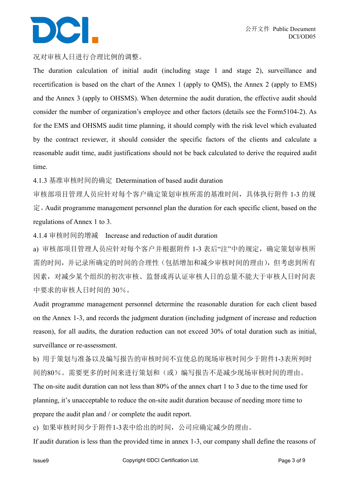#### 况对审核人日进行合理比例的调整。

The duration calculation of initial audit (including stage 1 and stage 2), surveillance and recertification is based on the chart of the Annex 1 (apply to QMS), the Annex 2 (apply to EMS) and the Annex 3 (apply to OHSMS). When determine the audit duration, the effective audit should consider the number of organization's employee and other factors (details see the Form5104-2). As for the EMS and OHSMS audit time planning, it should comply with the risk level which evaluated by the contract reviewer, it should consider the specific factors of the clients and calculate a reasonable audit time, audit justifications should not be back calculated to derive the required audit time.

4.1.3 基准审核时间的确定 Determination of based audit duration

审核部项目管理人员应针对每个客户确定策划审核所需的基准时间,具体执行附件 1-3 的规 定。Audit programme management personnel plan the duration for each specific client, based on the regulations of Annex 1 to 3.

4.1.4 审核时间的增减 Increase and reduction of audit duration

a) 审核部项目管理人员应针对每个客户并根据附件 1-3 表后"注"中的规定,确定策划审核所 需的时间,并记录所确定的时间的合理性(包括增加和减少审核时间的理由),但考虑到所有 因素,对减少某个组织的初次审核、监督或再认证审核人日的总量不能大于审核人日时间表 中要求的审核人日时间的 30%。

Audit programme management personnel determine the reasonable duration for each client based on the Annex 1-3, and records the judgment duration (including judgment of increase and reduction reason), for all audits, the duration reduction can not exceed 30% of total duration such as initial, surveillance or re-assessment.

b) 用于策划与准备以及编写报告的审核时间不宜使总的现场审核时间少于附件1-3表所列时 间的80%。需要更多的时间来进行策划和(或)编写报告不是减少现场审核时间的理由。

The on-site audit duration can not less than 80% of the annex chart 1 to 3 due to the time used for planning, it's unacceptable to reduce the on-site audit duration because of needing more time to prepare the audit plan and / or complete the audit report.

c) 如果审核时间少于附件1-3表中给出的时间,公司应确定减少的理由。

If audit duration is less than the provided time in annex 1-3, our company shall define the reasons of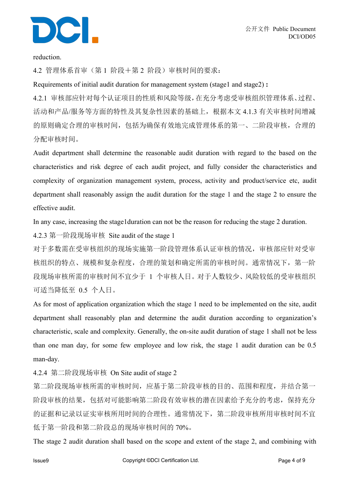

reduction.

4.2 管理体系首审(第 1 阶段+第 2 阶段)审核时间的要求:

Requirements ofinitial audit duration for management system (stage1 and stage2) **:**

4.2.1 审核部应针对每个认证项目的性质和风险等级,在充分考虑受审核组织管理体系、过程、 活动和产品/服务等方面的特性及其复杂性因素的基础上,根据本文 4.1.3 有关审核时间增减 的原则确定合理的审核时间,包括为确保有效地完成管理体系的第一、二阶段审核,合理的 分配审核时间。

Audit department shall determine the reasonable audit duration with regard to the based on the characteristics and risk degree of each audit project, and fully consider the characteristics and complexity of organization management system, process, activity and product/service etc, audit department shall reasonably assign the audit duration for the stage 1 and the stage 2 to ensure the effective audit.

In any case, increasing the stage1duration can not be the reason for reducing the stage 2 duration.

4.2.3 第一阶段现场审核 Site audit of the stage 1

对于多数需在受审核组织的现场实施第一阶段管理体系认证审核的情况,审核部应针对受审 核组织的特点、规模和复杂程度,合理的策划和确定所需的审核时间。通常情况下,第一阶 段现场审核所需的审核时间不宜少于 1 个审核人日。对于人数较少、风险较低的受审核组织 可适当降低至 0.5 个人日。

As for most of application organization which the stage 1 need to be implemented on the site, audit department shall reasonably plan and determine the audit duration according to organization's characteristic, scale and complexity. Generally, the on-site audit duration of stage 1 shall not be less than one man day, for some few employee and low risk, the stage 1 audit duration can be 0.5 man-day.

4.2.4 第二阶段现场审核 On Site audit of stage 2

第二阶段现场审核所需的审核时间,应基于第二阶段审核的目的、范围和程度,并结合第一 阶段审核的结果,包括对可能影响第二阶段有效审核的潜在因素给予充分的考虑,保持充分 的证据和记录以证实审核所用时间的合理性。通常情况下,第二阶段审核所用审核时间不宜 低于第一阶段和第二阶段总的现场审核时间的 70%。

The stage 2 audit duration shall based on the scope and extent of the stage 2, and combining with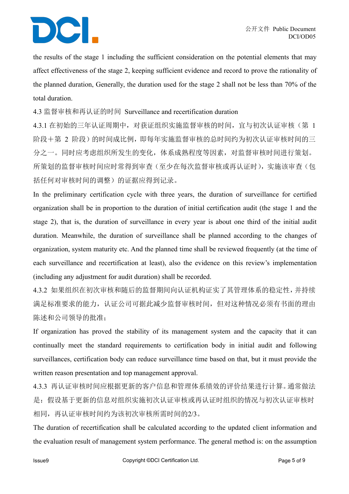the results of the stage 1 including the sufficient consideration on the potential elements that may affect effectiveness of the stage 2, keeping sufficient evidence and record to prove the rationality of the planned duration, Generally, the duration used for the stage 2 shall not be less than 70% of the total duration.

4.3 监督审核和再认证的时间 Surveillance and recertification duration

4.3.1 在初始的三年认证周期中,对获证组织实施监督审核的时间,宜与初次认证审核(第 1 阶段+第 2 阶段)的时间成比例,即每年实施监督审核的总时间约为初次认证审核时间的三 分之一。同时应考虑组织所发生的变化,体系成熟程度等因素,对监督审核时间进行策划。 所策划的监督审核时间应时常得到审查(至少在每次监督审核或再认证时),实施该审查(包 括任何对审核时间的调整)的证据应得到记录。

In the preliminary certification cycle with three years, the duration of surveillance for certified organization shall be in proportion to the duration of initial certification audit (the stage 1 and the stage 2), that is, the duration of surveillance in every year is about one third of the initial audit duration. Meanwhile, the duration of surveillance shall be planned according to the changes of organization, system maturity etc. And the planned time shallbe reviewed frequently (at the time of each surveillance and recertification at least), also the evidence on this review's implementation (including any adjustment for audit duration) shall be recorded.

4.3.2 如果组织在初次审核和随后的监督期间向认证机构证实了其管理体系的稳定性,并持续 满足标准要求的能力,认证公司可据此减少监督审核时间,但对这种情况必须有书面的理由 陈述和公司领导的批准;

If organization has proved the stability of its management system and the capacity that it can continually meet the standard requirements to certification body in initial audit and following surveillances, certification body can reduce surveillance time based on that, but it must provide the written reason presentation and top management approval.

4.3.3 再认证审核时间应根据更新的客户信息和管理体系绩效的评价结果进行计算。通常做法 是:假设基于更新的信息对组织实施初次认证审核或再认证时组织的情况与初次认证审核时 相同,再认证审核时间约为该初次审核所需时间的2/3。

The duration of recertification shall be calculated according to the updated client information and the evaluation result of management system performance. The general method is: on the assumption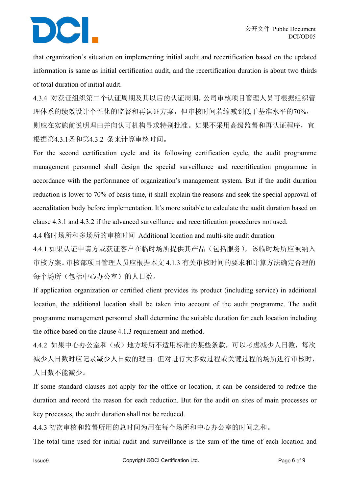that organization's situation on implementing initial audit and recertification based on the updated information is same as initial certification audit, and the recertification duration is about two thirds of total duration of initial audit.

4.3.4 对获证组织第二个认证周期及其以后的认证周期,公司审核项目管理人员可根据组织管 理体系的绩效设计个性化的监督和再认证方案,但审核时间若缩减到低于基准水平的70%, 则应在实施前说明理由并向认可机构寻求特别批准。如果不采用高级监督和再认证程序,宜 根据第4.3.1条和第4.3.2 条来计算审核时间。

For the second certification cycle and its following certification cycle, the audit programme management personnel shall design the special surveillance and recertification programme in accordance with the performance of organization's management system. But if the audit duration reduction is lower to 70% of basis time, it shall explain the reasons and seek the special approval of accreditation body before implementation. It's more suitable to calculate the audit duration based on clause 4.3.1 and 4.3.2 if the advanced surveillance and recertification procedures not used.

4.4 临时场所和多场所的审核时间 Additional location and multi-site audit duration

4.4.1 如果认证申请方或获证客户在临时场所提供其产品(包括服务),该临时场所应被纳入 审核方案。审核部项目管理人员应根据本文 4.1.3 有关审核时间的要求和计算方法确定合理的 每个场所(包括中心办公室)的人日数。

If application organization or certified client provides its product (including service) in additional location, the additional location shall be taken into account of the audit programme. The audit programme management personnel shall determine the suitable duration for each location including the office based on the clause 4.1.3 requirement and method.

4.4.2 如果中心办公室和(或)地方场所不适用标准的某些条款,可以考虑减少人日数,每次 减少人日数时应记录减少人日数的理由。但对进行大多数过程或关键过程的场所进行审核时, 人日数不能减少。

If some standard clauses not apply for the office or location, it can be considered to reduce the duration and record the reason for each reduction. But for the audit on sites of main processes or key processes, the audit duration shall not be reduced.<br>4.4.3 初次审核和监督所用的总时间为用在每个场所和中心办公室的时间之和。

The total time used for initial audit and surveillance is the sum of the time of each location and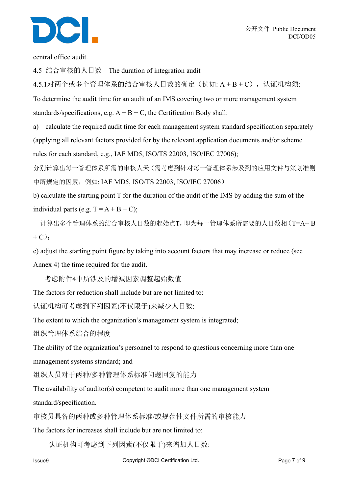

central office audit.

4.5 结合审核的人日数 The duration of integration audit

4.5.1对两个或多个管理体系的结合审核人日数的确定(例如: A + B + C), 认证机构须:

To determine the audit time for an audit of an IMS covering two or more management system standards/specifications, e.g.  $A + B + C$ , the Certification Body shall:

a) calculate the required audit time for each management system standard specification separately (applying all relevant factors provided for by the relevant application documents and/or scheme rules for each standard, e.g., IAF MD5, ISO/TS 22003, ISO/IEC 27006);

分别计算出每一管理体系所需的审核人天(需考虑到针对每一管理体系涉及到的应用文件与策划准则 中所规定的因素,例如: IAF MD5, ISO/TS 22003, ISO/IEC 27006)

b) calculate the starting point T for the duration of the audit of the IMS by adding the sum of the individual parts (e.g.  $T = A + B + C$ );

计算出多个管理体系的结合审核人日数的起始点T,即为每一管理体系所需要的人日数相(T=A+ B  $+ C$ ;

c) adjust the starting point figure by taking into account factors that may increase or reduce (see Annex 4) the time required for the audit.

考虑附件4中所涉及的增减因素调整起始数值

The factors for reduction shall include but are not limited to:

认证机构可考虑到下列因素(不仅限于)来减少人日数:

The extent to which the organization's management system is integrated;

组织管理体系结合的程度

The ability of the organization's personnel to respond to questions concerning more than one

management systems standard; and

组织人员对于两种/多种管理体系标准问题回复的能力

The availability of auditor(s) competent to audit more than one management system

standard/specification.

审核员具备的两种或多种管理体系标准/或规范性文件所需的审核能力

The factors for increases shall include but are not limited to:

认证机构可考虑到下列因素(不仅限于)来增加人日数: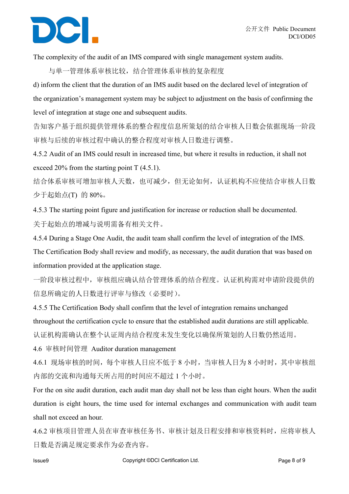The complexity of the audit of an IMS compared with single management system audits.

与单一管理体系审核比较,结合管理体系审核的复杂程度

d) inform the client that the duration of an IMS auditbased on the declared level of integration of the organization's management system may be subject to adjustment on the basis of confirming the level of integration at stage one and subsequent audits.

告知客户基于组织提供管理体系的整合程度信息所策划的结合审核人日数会依据现场一阶段 审核与后续的审核过程中确认的整合程度对审核人日数进行调整。

4.5.2 Audit of an IMS could result in increased time, but where it results in reduction, it shall not exceed 20% from the starting point  $T(4.5.1)$ .

结合体系审核可增加审核人天数,也可减少,但无论如何,认证机构不应使结合审核人日数 少于起始点(T) 的 80%。

4.5.3 The starting point figure and justification for increase or reduction shall be documented. 关于起始点的增减与说明需备有相关文件。

4.5.4 During a Stage One Audit, the audit team shall confirm the level of integration of the IMS. The Certification Body shall review and modify, as necessary, the audit duration that was based on information provided at the application stage.

一阶段审核过程中,审核组应确认结合管理体系的结合程度。认证机构需对申请阶段提供的 信息所确定的人日数进行评审与修改(必要时)。

4.5.5 The Certification Body shall confirm that the level of integration remains unchanged throughout the certification cycle to ensure that the established audit durations are still applicable. 认证机构需确认在整个认证周内结合程度未发生变化以确保所策划的人日数仍然适用。

4.6 审核时间管理 Auditor duration management

4.6.1 现场审核的时间,每个审核人日应不低于 8 小时,当审核人日为 8 小时时,其中审核组 内部的交流和沟通每天所占用的时间应不超过 1 个小时。

For the on site audit duration, each audit man day shall not be less than eight hours. When the audit duration is eight hours, the time used for internal exchanges and communication with audit team shall not exceed an hour.

4.6.2 审核项目管理人员在审查审核任务书、审核计划及日程安排和审核资料时,应将审核人 日数是否满足规定要求作为必查内容。